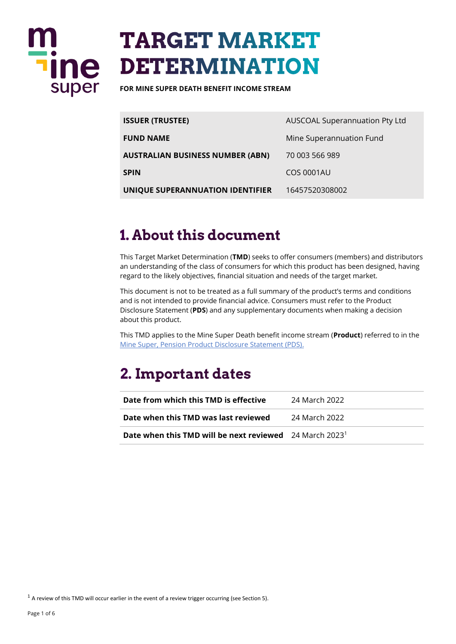

# **TARGET MARKET DETERMINATION**

**FOR MINE SUPER DEATH BENEFIT INCOME STREAM** 

| <b>ISSUER (TRUSTEE)</b>          | AUSCOAL Superannuation Pty Ltd |
|----------------------------------|--------------------------------|
| <b>FUND NAME</b>                 | Mine Superannuation Fund       |
| AUSTRALIAN BUSINESS NUMBER (ABN) | 70 003 566 989                 |
| SPIN                             | COS 0001AU                     |
| UNIQUE SUPERANNUATION IDENTIFIER | 16457520308002                 |

### 1. About this document

This Target Market Determination (**TMD**) seeks to offer consumers (members) and distributors an understanding of the class of consumers for which this product has been designed, having regard to the likely objectives, financial situation and needs of the target market.

This document is not to be treated as a full summary of the product's terms and conditions and is not intended to provide financial advice. Consumers must refer to the Product Disclosure Statement (**PDS**) and any supplementary documents when making a decision about this product.

This TMD applies to the Mine Super Death benefit income stream (**Product**) referred to in the [Mine Super, Pension Product Disclosure Statement \(PDS\).](https://www.mine.com.au/docs/default-source/publications/pension-pds.pdf)

# 2. Important dates

| Date from which this TMD is effective                                      | 24 March 2022 |
|----------------------------------------------------------------------------|---------------|
| Date when this TMD was last reviewed                                       | 24 March 2022 |
| <b>Date when this TMD will be next reviewed</b> 24 March 2023 <sup>1</sup> |               |

 $1$  A review of this TMD will occur earlier in the event of a review trigger occurring (see Section 5).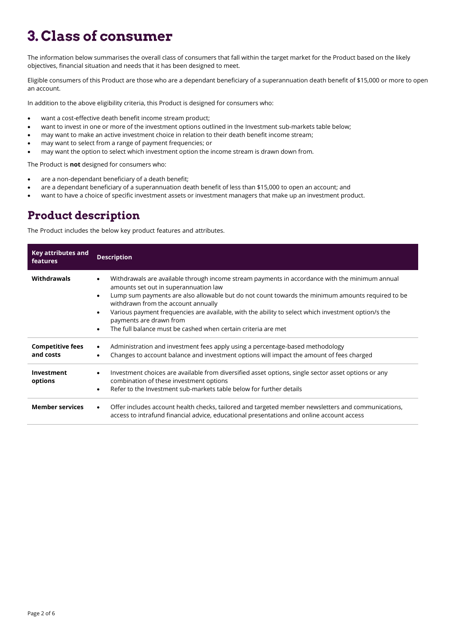# 3. Class of consumer

The information below summarises the overall class of consumers that fall within the target market for the Product based on the likely objectives, financial situation and needs that it has been designed to meet.

Eligible consumers of this Product are those who are a dependant beneficiary of a superannuation death benefit of \$15,000 or more to open an account.

In addition to the above eligibility criteria, this Product is designed for consumers who:

- want a cost-effective death benefit income stream product;
- want to invest in one or more of the investment options outlined in the Investment sub-markets table below;
- may want to make an active investment choice in relation to their death benefit income stream;
- may want to select from a range of payment frequencies; or
- may want the option to select which investment option the income stream is drawn down from.

The Product is **not** designed for consumers who:

- are a non-dependant beneficiary of a death benefit;
- are a dependant beneficiary of a superannuation death benefit of less than \$15,000 to open an account; and
- want to have a choice of specific investment assets or investment managers that make up an investment product.

#### **Product description**

The Product includes the below key product features and attributes.

| Key attributes and<br>features       | <b>Description</b>                                                                                                                                                                                                                                                                                                                                                                                                                                                                                                                        |  |
|--------------------------------------|-------------------------------------------------------------------------------------------------------------------------------------------------------------------------------------------------------------------------------------------------------------------------------------------------------------------------------------------------------------------------------------------------------------------------------------------------------------------------------------------------------------------------------------------|--|
| Withdrawals                          | Withdrawals are available through income stream payments in accordance with the minimum annual<br>$\bullet$<br>amounts set out in superannuation law<br>Lump sum payments are also allowable but do not count towards the minimum amounts required to be<br>$\bullet$<br>withdrawn from the account annually<br>Various payment frequencies are available, with the ability to select which investment option/s the<br>$\bullet$<br>payments are drawn from<br>The full balance must be cashed when certain criteria are met<br>$\bullet$ |  |
| <b>Competitive fees</b><br>and costs | Administration and investment fees apply using a percentage-based methodology<br>$\bullet$<br>Changes to account balance and investment options will impact the amount of fees charged<br>$\bullet$                                                                                                                                                                                                                                                                                                                                       |  |
| Investment<br>options                | Investment choices are available from diversified asset options, single sector asset options or any<br>$\bullet$<br>combination of these investment options<br>Refer to the Investment sub-markets table below for further details<br>$\bullet$                                                                                                                                                                                                                                                                                           |  |
| <b>Member services</b>               | Offer includes account health checks, tailored and targeted member newsletters and communications,<br>$\bullet$<br>access to intrafund financial advice, educational presentations and online account access                                                                                                                                                                                                                                                                                                                              |  |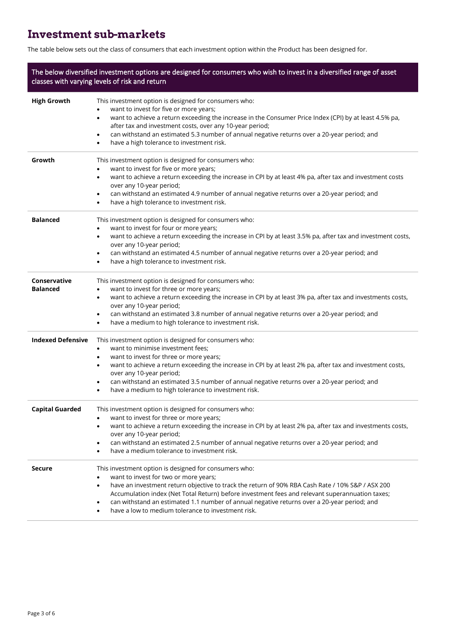#### **Investment sub-markets**

The table below sets out the class of consumers that each investment option within the Product has been designed for.

| The below diversified investment options are designed for consumers who wish to invest in a diversified range of asset<br>classes with varying levels of risk and return |                                                                                                                                                                                                                                                                                                                                                                                                                                                                         |  |
|--------------------------------------------------------------------------------------------------------------------------------------------------------------------------|-------------------------------------------------------------------------------------------------------------------------------------------------------------------------------------------------------------------------------------------------------------------------------------------------------------------------------------------------------------------------------------------------------------------------------------------------------------------------|--|
| <b>High Growth</b>                                                                                                                                                       | This investment option is designed for consumers who:<br>want to invest for five or more years;<br>want to achieve a return exceeding the increase in the Consumer Price Index (CPI) by at least 4.5% pa,<br>$\bullet$<br>after tax and investment costs, over any 10-year period;<br>can withstand an estimated 5.3 number of annual negative returns over a 20-year period; and<br>٠<br>have a high tolerance to investment risk.<br>٠                                |  |
| Growth                                                                                                                                                                   | This investment option is designed for consumers who:<br>want to invest for five or more years;<br>$\bullet$<br>want to achieve a return exceeding the increase in CPI by at least 4% pa, after tax and investment costs<br>$\bullet$<br>over any 10-year period;<br>can withstand an estimated 4.9 number of annual negative returns over a 20-year period; and<br>٠<br>have a high tolerance to investment risk.<br>$\bullet$                                         |  |
| <b>Balanced</b>                                                                                                                                                          | This investment option is designed for consumers who:<br>want to invest for four or more years;<br>٠<br>want to achieve a return exceeding the increase in CPI by at least 3.5% pa, after tax and investment costs,<br>$\bullet$<br>over any 10-year period;<br>can withstand an estimated 4.5 number of annual negative returns over a 20-year period; and<br>٠<br>have a high tolerance to investment risk.<br>$\bullet$                                              |  |
| Conservative<br><b>Balanced</b>                                                                                                                                          | This investment option is designed for consumers who:<br>want to invest for three or more years;<br>٠<br>want to achieve a return exceeding the increase in CPI by at least 3% pa, after tax and investments costs,<br>$\bullet$<br>over any 10-year period;<br>can withstand an estimated 3.8 number of annual negative returns over a 20-year period; and<br>٠<br>have a medium to high tolerance to investment risk.<br>٠                                            |  |
| <b>Indexed Defensive</b>                                                                                                                                                 | This investment option is designed for consumers who:<br>want to minimise investment fees;<br>٠<br>want to invest for three or more years;<br>٠<br>want to achieve a return exceeding the increase in CPI by at least 2% pa, after tax and investment costs,<br>$\bullet$<br>over any 10-year period;<br>can withstand an estimated 3.5 number of annual negative returns over a 20-year period; and<br>٠<br>have a medium to high tolerance to investment risk.<br>٠   |  |
| <b>Capital Guarded</b>                                                                                                                                                   | This investment option is designed for consumers who:<br>want to invest for three or more years;<br>want to achieve a return exceeding the increase in CPI by at least 2% pa, after tax and investments costs,<br>over any 10-year period;<br>can withstand an estimated 2.5 number of annual negative returns over a 20-year period; and<br>$\bullet$<br>have a medium tolerance to investment risk.                                                                   |  |
| <b>Secure</b>                                                                                                                                                            | This investment option is designed for consumers who:<br>want to invest for two or more years;<br>have an investment return objective to track the return of 90% RBA Cash Rate / 10% S&P / ASX 200<br>$\bullet$<br>Accumulation index (Net Total Return) before investment fees and relevant superannuation taxes;<br>can withstand an estimated 1.1 number of annual negative returns over a 20-year period; and<br>have a low to medium tolerance to investment risk. |  |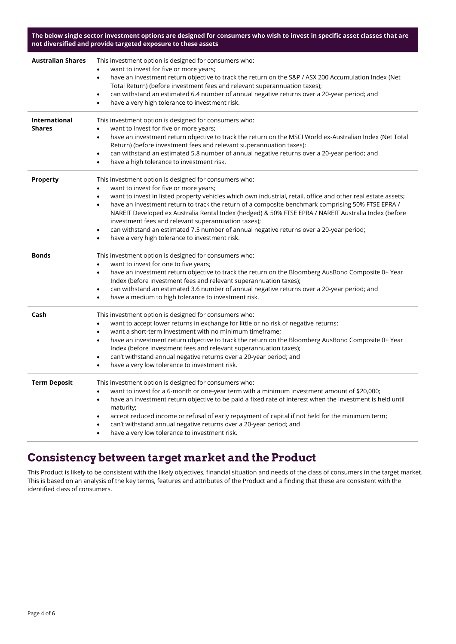**The below single sector investment options are designed for consumers who wish to invest in specific asset classes that are not diversified and provide targeted exposure to these assets**

| <b>Australian Shares</b>              | This investment option is designed for consumers who:<br>want to invest for five or more years;<br>have an investment return objective to track the return on the S&P / ASX 200 Accumulation Index (Net<br>$\bullet$<br>Total Return) (before investment fees and relevant superannuation taxes);<br>can withstand an estimated 6.4 number of annual negative returns over a 20-year period; and<br>$\bullet$<br>have a very high tolerance to investment risk.<br>$\bullet$                                                                                                                                                                                                                       |
|---------------------------------------|----------------------------------------------------------------------------------------------------------------------------------------------------------------------------------------------------------------------------------------------------------------------------------------------------------------------------------------------------------------------------------------------------------------------------------------------------------------------------------------------------------------------------------------------------------------------------------------------------------------------------------------------------------------------------------------------------|
| <b>International</b><br><b>Shares</b> | This investment option is designed for consumers who:<br>want to invest for five or more years;<br>٠<br>have an investment return objective to track the return on the MSCI World ex-Australian Index (Net Total<br>$\bullet$<br>Return) (before investment fees and relevant superannuation taxes);<br>can withstand an estimated 5.8 number of annual negative returns over a 20-year period; and<br>$\bullet$<br>have a high tolerance to investment risk.<br>$\bullet$                                                                                                                                                                                                                         |
| <b>Property</b>                       | This investment option is designed for consumers who:<br>want to invest for five or more years;<br>$\bullet$<br>want to invest in listed property vehicles which own industrial, retail, office and other real estate assets;<br>$\bullet$<br>have an investment return to track the return of a composite benchmark comprising 50% FTSE EPRA /<br>$\bullet$<br>NAREIT Developed ex Australia Rental Index (hedged) & 50% FTSE EPRA / NAREIT Australia Index (before<br>investment fees and relevant superannuation taxes);<br>can withstand an estimated 7.5 number of annual negative returns over a 20-year period;<br>$\bullet$<br>have a very high tolerance to investment risk.<br>$\bullet$ |
| <b>Bonds</b>                          | This investment option is designed for consumers who:<br>want to invest for one to five years;<br>$\bullet$<br>have an investment return objective to track the return on the Bloomberg AusBond Composite 0+ Year<br>$\bullet$<br>Index (before investment fees and relevant superannuation taxes);<br>can withstand an estimated 3.6 number of annual negative returns over a 20-year period; and<br>٠<br>have a medium to high tolerance to investment risk.<br>$\bullet$                                                                                                                                                                                                                        |
| Cash                                  | This investment option is designed for consumers who:<br>want to accept lower returns in exchange for little or no risk of negative returns;<br>$\bullet$<br>want a short-term investment with no minimum timeframe;<br>$\bullet$<br>have an investment return objective to track the return on the Bloomberg AusBond Composite 0+ Year<br>$\bullet$<br>Index (before investment fees and relevant superannuation taxes);<br>can't withstand annual negative returns over a 20-year period; and<br>$\bullet$<br>have a very low tolerance to investment risk.<br>$\bullet$                                                                                                                         |
| <b>Term Deposit</b>                   | This investment option is designed for consumers who:<br>want to invest for a 6-month or one-year term with a minimum investment amount of \$20,000;<br>$\bullet$<br>have an investment return objective to be paid a fixed rate of interest when the investment is held until<br>$\bullet$<br>maturity;<br>accept reduced income or refusal of early repayment of capital if not held for the minimum term;<br>$\bullet$<br>can't withstand annual negative returns over a 20-year period; and<br>have a very low tolerance to investment risk.<br>$\bullet$                                                                                                                                      |

#### **Consistency between target market and the Product**

This Product is likely to be consistent with the likely objectives, financial situation and needs of the class of consumers in the target market. This is based on an analysis of the key terms, features and attributes of the Product and a finding that these are consistent with the identified class of consumers.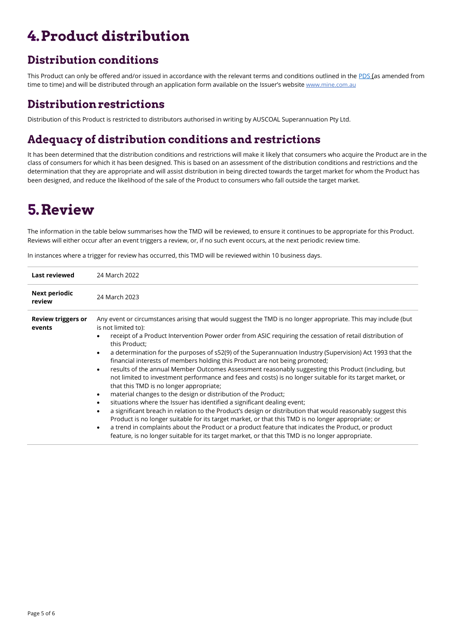# 4. Product distribution

#### **Distribution conditions**

This Product can only be offered and/or issued in accordance with the relevant terms and conditions outlined in the [PDS](https://www.mine.com.au/docs/default-source/publications/pension-pds.pdf) (as amended from time to time) and will be distributed through an application form available on the Issuer's website [www.mine.com.au](http://www.mine.com.au/)

#### **Distribution restrictions**

Distribution of this Product is restricted to distributors authorised in writing by AUSCOAL Superannuation Pty Ltd.

#### Adequacy of distribution conditions and restrictions

It has been determined that the distribution conditions and restrictions will make it likely that consumers who acquire the Product are in the class of consumers for which it has been designed. This is based on an assessment of the distribution conditions and restrictions and the determination that they are appropriate and will assist distribution in being directed towards the target market for whom the Product has been designed, and reduce the likelihood of the sale of the Product to consumers who fall outside the target market.

## 5. Review

The information in the table below summarises how the TMD will be reviewed, to ensure it continues to be appropriate for this Product. Reviews will either occur after an event triggers a review, or, if no such event occurs, at the next periodic review time.

In instances where a trigger for review has occurred, this TMD will be reviewed within 10 business days.

| Last reviewed                       | 24 March 2022                                                                                                                                                                                                                                                                                                                                                                                                                                                                                                                                                                                                                                                                                                                                                                                                                                                                                                                                                                                                                                                                                                                                                                                                                                                                                                                                                                    |  |
|-------------------------------------|----------------------------------------------------------------------------------------------------------------------------------------------------------------------------------------------------------------------------------------------------------------------------------------------------------------------------------------------------------------------------------------------------------------------------------------------------------------------------------------------------------------------------------------------------------------------------------------------------------------------------------------------------------------------------------------------------------------------------------------------------------------------------------------------------------------------------------------------------------------------------------------------------------------------------------------------------------------------------------------------------------------------------------------------------------------------------------------------------------------------------------------------------------------------------------------------------------------------------------------------------------------------------------------------------------------------------------------------------------------------------------|--|
| Next periodic<br>review             | 24 March 2023                                                                                                                                                                                                                                                                                                                                                                                                                                                                                                                                                                                                                                                                                                                                                                                                                                                                                                                                                                                                                                                                                                                                                                                                                                                                                                                                                                    |  |
| <b>Review triggers or</b><br>events | Any event or circumstances arising that would suggest the TMD is no longer appropriate. This may include (but<br>is not limited to):<br>receipt of a Product Intervention Power order from ASIC requiring the cessation of retail distribution of<br>this Product:<br>a determination for the purposes of s52(9) of the Superannuation Industry (Supervision) Act 1993 that the<br>$\bullet$<br>financial interests of members holding this Product are not being promoted;<br>results of the annual Member Outcomes Assessment reasonably suggesting this Product (including, but<br>$\bullet$<br>not limited to investment performance and fees and costs) is no longer suitable for its target market, or<br>that this TMD is no longer appropriate;<br>material changes to the design or distribution of the Product;<br>$\bullet$<br>situations where the Issuer has identified a significant dealing event;<br>$\bullet$<br>a significant breach in relation to the Product's design or distribution that would reasonably suggest this<br>٠<br>Product is no longer suitable for its target market, or that this TMD is no longer appropriate; or<br>a trend in complaints about the Product or a product feature that indicates the Product, or product<br>$\bullet$<br>feature, is no longer suitable for its target market, or that this TMD is no longer appropriate. |  |